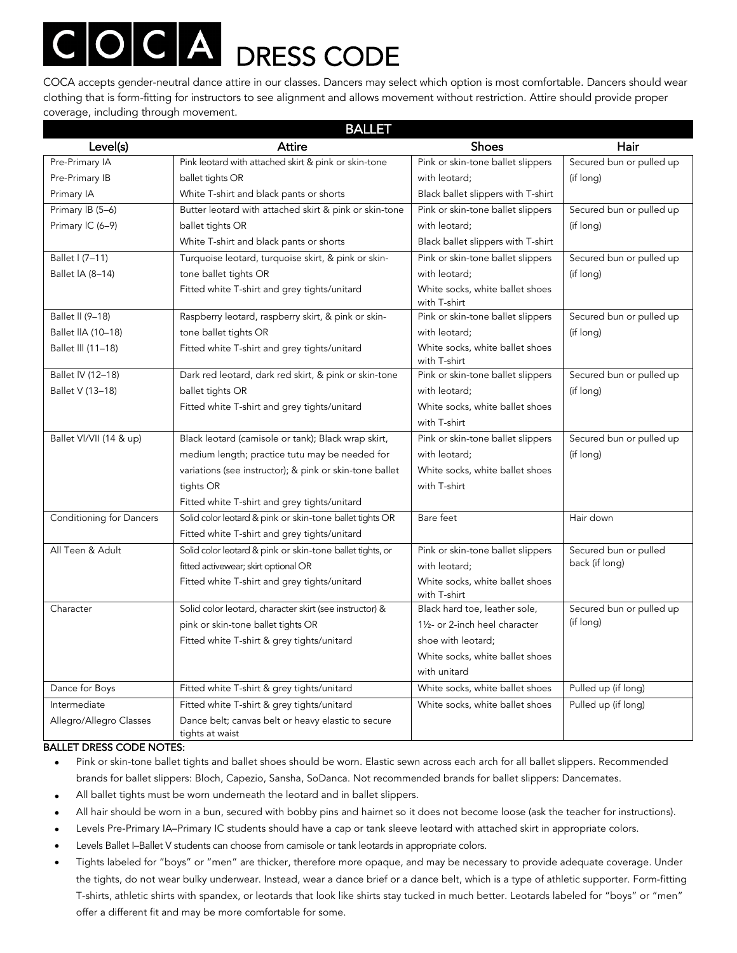# COCA accepts gender-neutral dance attire in our classes. Dancers may select which option is most comfortable. Dancers should wear

clothing that is form-fitting for instructors to see alignment and allows movement without restriction. Attire should provide proper coverage, including through movement.

| <b>BALLET</b>                   |                                                                       |                                                 |                          |  |
|---------------------------------|-----------------------------------------------------------------------|-------------------------------------------------|--------------------------|--|
| Level(s)                        | Attire                                                                | Shoes                                           | Hair                     |  |
| Pre-Primary IA                  | Pink leotard with attached skirt & pink or skin-tone                  | Pink or skin-tone ballet slippers               | Secured bun or pulled up |  |
| Pre-Primary IB                  | ballet tights OR                                                      | with leotard:                                   | (if long)                |  |
| Primary IA                      | White T-shirt and black pants or shorts                               | Black ballet slippers with T-shirt              |                          |  |
| Primary IB (5-6)                | Butter leotard with attached skirt & pink or skin-tone                | Pink or skin-tone ballet slippers               | Secured bun or pulled up |  |
| Primary IC (6-9)                | ballet tights OR                                                      | with leotard:                                   | (if long)                |  |
|                                 | White T-shirt and black pants or shorts                               | Black ballet slippers with T-shirt              |                          |  |
| Ballet I (7-11)                 | Turquoise leotard, turquoise skirt, & pink or skin-                   | Pink or skin-tone ballet slippers               | Secured bun or pulled up |  |
| Ballet IA (8-14)                | tone ballet tights OR                                                 | with leotard;                                   | (if long)                |  |
|                                 | Fitted white T-shirt and grey tights/unitard                          | White socks, white ballet shoes<br>with T-shirt |                          |  |
| Ballet II (9-18)                | Raspberry leotard, raspberry skirt, & pink or skin-                   | Pink or skin-tone ballet slippers               | Secured bun or pulled up |  |
| Ballet IIA (10-18)              | tone ballet tights OR                                                 | with leotard;                                   | (if long)                |  |
| Ballet III (11-18)              | Fitted white T-shirt and grey tights/unitard                          | White socks, white ballet shoes<br>with T-shirt |                          |  |
| Ballet IV (12-18)               | Dark red leotard, dark red skirt, & pink or skin-tone                 | Pink or skin-tone ballet slippers               | Secured bun or pulled up |  |
| Ballet V (13-18)                | ballet tights OR                                                      | with leotard;                                   | (if long)                |  |
|                                 | Fitted white T-shirt and grey tights/unitard                          | White socks, white ballet shoes                 |                          |  |
|                                 |                                                                       | with T-shirt                                    |                          |  |
| Ballet VI/VII (14 & up)         | Black leotard (camisole or tank); Black wrap skirt,                   | Pink or skin-tone ballet slippers               | Secured bun or pulled up |  |
|                                 | medium length; practice tutu may be needed for                        | with leotard;                                   | (if long)                |  |
|                                 | variations (see instructor); & pink or skin-tone ballet               | White socks, white ballet shoes                 |                          |  |
|                                 | tights OR                                                             | with T-shirt                                    |                          |  |
|                                 | Fitted white T-shirt and grey tights/unitard                          |                                                 |                          |  |
| <b>Conditioning for Dancers</b> | Solid color leotard & pink or skin-tone ballet tights OR              | Bare feet                                       | Hair down                |  |
|                                 | Fitted white T-shirt and grey tights/unitard                          |                                                 |                          |  |
| All Teen & Adult                | Solid color leotard & pink or skin-tone ballet tights, or             | Pink or skin-tone ballet slippers               | Secured bun or pulled    |  |
|                                 | fitted activewear; skirt optional OR                                  | with leotard;                                   | back (if long)           |  |
|                                 | Fitted white T-shirt and grey tights/unitard                          | White socks, white ballet shoes<br>with T-shirt |                          |  |
| Character                       | Solid color leotard, character skirt (see instructor) &               | Black hard toe, leather sole,                   | Secured bun or pulled up |  |
|                                 | pink or skin-tone ballet tights OR                                    | 11/2- or 2-inch heel character                  | (if long)                |  |
|                                 | Fitted white T-shirt & grey tights/unitard                            | shoe with leotard;                              |                          |  |
|                                 |                                                                       | White socks, white ballet shoes                 |                          |  |
|                                 |                                                                       | with unitard                                    |                          |  |
| Dance for Boys                  | Fitted white T-shirt & grey tights/unitard                            | White socks, white ballet shoes                 | Pulled up (if long)      |  |
| Intermediate                    | Fitted white T-shirt & grey tights/unitard                            | White socks, white ballet shoes                 | Pulled up (if long)      |  |
| Allegro/Allegro Classes         | Dance belt; canvas belt or heavy elastic to secure<br>tights at waist |                                                 |                          |  |

#### BALLET DRESS CODE NOTES:

- Pink or skin-tone ballet tights and ballet shoes should be worn. Elastic sewn across each arch for all ballet slippers. Recommended brands for ballet slippers: Bloch, Capezio, Sansha, SoDanca. Not recommended brands for ballet slippers: Dancemates.
- All ballet tights must be worn underneath the leotard and in ballet slippers.
- All hair should be worn in a bun, secured with bobby pins and hairnet so it does not become loose (ask the teacher for instructions).
- Levels Pre-Primary IA–Primary IC students should have a cap or tank sleeve leotard with attached skirt in appropriate colors.
- Levels Ballet I–Ballet V students can choose from camisole or tank leotards in appropriate colors.
- Tights labeled for "boys" or "men" are thicker, therefore more opaque, and may be necessary to provide adequate coverage. Under the tights, do not wear bulky underwear. Instead, wear a dance brief or a dance belt, which is a type of athletic supporter. Form-fitting T-shirts, athletic shirts with spandex, or leotards that look like shirts stay tucked in much better. Leotards labeled for "boys" or "men" offer a different fit and may be more comfortable for some.